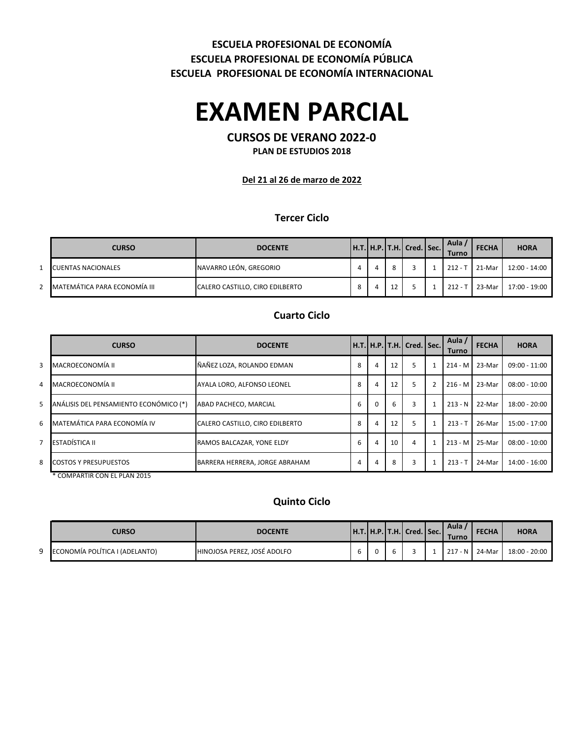## **ESCUELA PROFESIONAL DE ECONOMÍA INTERNACIONAL ESCUELA PROFESIONAL DE ECONOMÍA PÚBLICA ESCUELA PROFESIONAL DE ECONOMÍA**

# **EXAMEN PARCIAL**

## **CURSOS DE VERANO 2022-0**

**PLAN DE ESTUDIOS 2018**

#### **Del 21 al 26 de marzo de 2022**

### **Tercer Ciclo**

| <b>CURSO</b>                 | <b>DOCENTE</b>                  |         |  | $ $ H.T. $ $ H.P. $ $ T.H. $ $ Cred. $ $ Sec. $ $ | Aula<br><b>Turno</b> | <b>FECHA</b> | <b>HORA</b>   |
|------------------------------|---------------------------------|---------|--|---------------------------------------------------|----------------------|--------------|---------------|
| <b>CUENTAS NACIONALES</b>    | NAVARRO LEÓN, GREGORIO          |         |  |                                                   | $212 -$              | 21-Mar       | 12:00 - 14:00 |
| MATEMÁTICA PARA ECONOMÍA III | CALERO CASTILLO, CIRO EDILBERTO | $\circ$ |  |                                                   | $212 -$              | 23-Mar       | 17:00 - 19:00 |

### **Cuarto Ciclo**

|   | <b>CURSO</b>                           | <b>DOCENTE</b>                  |   |          |    | Н.Т.  Н.Р.  Т.Н.  Cred.   Sec. |                | Aula /<br>Turno | <b>FECHA</b> | <b>HORA</b>     |
|---|----------------------------------------|---------------------------------|---|----------|----|--------------------------------|----------------|-----------------|--------------|-----------------|
| 3 | MACROECONOMÍA II                       | ÑAÑEZ LOZA, ROLANDO EDMAN       | 8 | 4        | 12 | 5                              |                | 214 - M 23-Mar  |              | $09:00 - 11:00$ |
| 4 | MACROECONOMÍA II                       | AYALA LORO, ALFONSO LEONEL      | 8 | 4        | 12 | 5                              | $\overline{2}$ | $216 - M$       | 23-Mar       | $08:00 - 10:00$ |
| 5 | ANÁLISIS DEL PENSAMIENTO ECONÓMICO (*) | ABAD PACHECO, MARCIAL           | 6 | $\Omega$ | 6  | 3                              |                | $213 - N$       | 22-Mar       | 18:00 - 20:00   |
| 6 | MATEMÁTICA PARA ECONOMÍA IV            | CALERO CASTILLO, CIRO EDILBERTO | 8 | 4        | 12 | 5                              |                | $213 - T$       | 26-Mar       | 15:00 - 17:00   |
| 7 | ESTADÍSTICA II                         | RAMOS BALCAZAR. YONE ELDY       | 6 | 4        | 10 | 4                              |                |                 |              | $08:00 - 10:00$ |
| 8 | <b>COSTOS Y PRESUPUESTOS</b>           | BARRERA HERRERA, JORGE ABRAHAM  | 4 | 4        | 8  | 3                              |                | $213 - T$       | 24-Mar       | 14:00 - 16:00   |
|   | COMPARTIR CON FL PLAN 2015             |                                 |   |          |    |                                |                |                 |              | 213 - M 25-Mar  |

### **Quinto Ciclo**

|   | CURSO                          | <b>DOCENTE</b>              |  | <b>IH.T.IH.P.IT.H.I Cred. I Sec.</b> | Aula<br><b>Turno</b> | <b>FECHA</b> | <b>HORA</b>   |
|---|--------------------------------|-----------------------------|--|--------------------------------------|----------------------|--------------|---------------|
| Q | ECONOMÍA POLÍTICA I (ADELANTO) | HINOJOSA PEREZ, JOSÉ ADOLFO |  |                                      | $217 - N$            | 24-Mar       | 18:00 - 20:00 |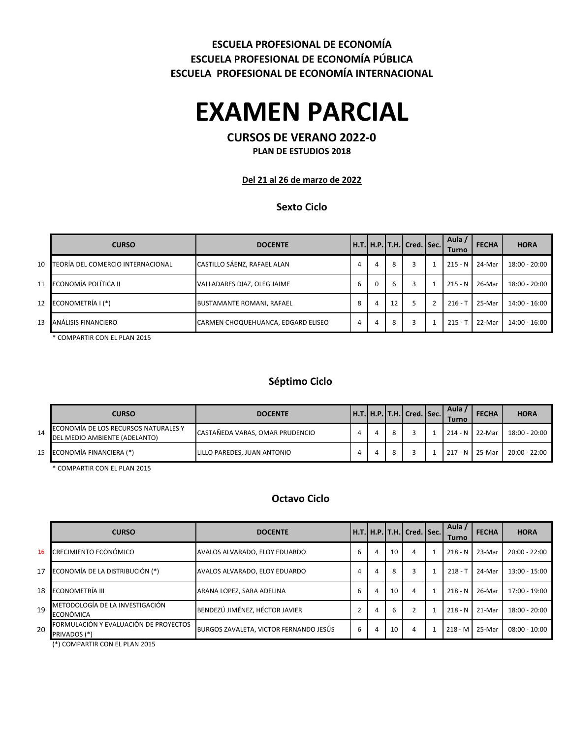### **ESCUELA PROFESIONAL DE ECONOMÍA INTERNACIONAL ESCUELA PROFESIONAL DE ECONOMÍA PÚBLICA ESCUELA PROFESIONAL DE ECONOMÍA**

# **EXAMEN PARCIAL**

## **CURSOS DE VERANO 2022-0**

**PLAN DE ESTUDIOS 2018**

**Del 21 al 26 de marzo de 2022**

### **Sexto Ciclo**

|        | <b>CURSO</b>                      | <b>DOCENTE</b>                     |   |          |    | H.T.   H.P.   T.H.   Cred.   Sec. | Aula /<br>Turno | <b>FECHA</b> | <b>HORA</b>     |
|--------|-----------------------------------|------------------------------------|---|----------|----|-----------------------------------|-----------------|--------------|-----------------|
| $10-1$ | TEORÍA DEL COMERCIO INTERNACIONAL | CASTILLO SÁENZ, RAFAEL ALAN        |   | 4        | 8  | 3                                 | $215 - N$       | 24-Mar       | 18:00 - 20:00   |
|        | 11 ECONOMÍA POLÍTICA II           | VALLADARES DIAZ, OLEG JAIME        | 6 | $\Omega$ | b  | 3                                 | $215 - N$       | 26-Mar       | $18:00 - 20:00$ |
|        | 12 ECONOMETRÍA I (*)              | <b>BUSTAMANTE ROMANI, RAFAEL</b>   | 8 | 4        | 12 |                                   | $216 - T$       | 25-Mar       | 14:00 - 16:00   |
|        | 13 ANÁLISIS FINANCIERO            | CARMEN CHOQUEHUANCA, EDGARD ELISEO | 4 | 4        | 8  | 3                                 | $215 -$         | 22-Mar       | 14:00 - 16:00   |

\* COMPARTIR CON EL PLAN 2015

### **Séptimo Ciclo**

|    | <b>CURSO</b>                                                          | <b>DOCENTE</b>                  |  | $\vert$ H.T. $\vert$ H.P. $\vert$ T.H. $\vert$ Cred. $\vert$ Sec. $\vert$ | Aula<br><b>Turno</b> | <b>FECHA</b> | <b>HORA</b>     |
|----|-----------------------------------------------------------------------|---------------------------------|--|---------------------------------------------------------------------------|----------------------|--------------|-----------------|
| 14 | ECONOMÍA DE LOS RECURSOS NATURALES Y<br>DEL MEDIO AMBIENTE (ADELANTO) | CASTAÑEDA VARAS, OMAR PRUDENCIO |  |                                                                           | 214 - N 22-Mar       |              | 18:00 - 20:00   |
|    | 15 ECONOMÍA FINANCIERA (*)                                            | LILLO PAREDES, JUAN ANTONIO     |  |                                                                           | $217 - N$            | 25-Mar       | $20:00 - 22:00$ |

\* COMPARTIR CON EL PLAN 2015

#### **Octavo Ciclo**

|    | <b>CURSO</b>                                          | <b>DOCENTE</b>                         |   |   |    | H.T.  H.P.  T.H.  Cred.   Sec. | Aula /<br>Turno | <b>FECHA</b> | <b>HORA</b>     |
|----|-------------------------------------------------------|----------------------------------------|---|---|----|--------------------------------|-----------------|--------------|-----------------|
| 16 | CRECIMIENTO ECONÓMICO                                 | AVALOS ALVARADO, ELOY EDUARDO          | ь | 4 | 10 | 4                              | $218 - N$       | 23-Mar       | 20:00 - 22:00   |
| 17 | ECONOMÍA DE LA DISTRIBUCIÓN (*)                       | AVALOS ALVARADO, ELOY EDUARDO          | 4 | 4 | 8  |                                | $218 - T$       | 24-Mar       | 13:00 - 15:00   |
| 18 | ECONOMETRÍA III                                       | ARANA LOPEZ, SARA ADELINA              | ь | 4 | 10 | 4                              | $218 - N$       | 26-Mar       | 17:00 - 19:00   |
| 19 | METODOLOGÍA DE LA INVESTIGACIÓN<br>ECONÓMICA          | BENDEZÚ JIMÉNEZ, HÉCTOR JAVIER         |   | 4 | 6  |                                | $218 - N$       | 21-Mar       | 18:00 - 20:00   |
| 20 | FORMULACIÓN Y EVALUACIÓN DE PROYECTOS<br>PRIVADOS (*) | BURGOS ZAVALETA, VICTOR FERNANDO JESÚS | b | 4 | 10 | 4                              | 218 - M         | 25-Mar       | $08:00 - 10:00$ |

(\*) COMPARTIR CON EL PLAN 2015